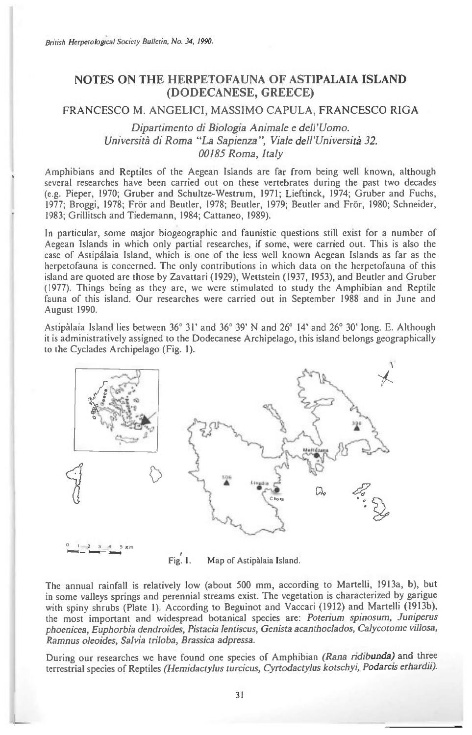## **NOTES ON THE HERPETOFAUNA OF ASTIPALAIA ISLAND (DODECANESE, GREECE)**

## FRANCESCO M. ANGELICI, MASSIMO CAPULA, FRANCESCO RIGA

*Dipartimento di Biologia Animale e dell'Uomo.*  Università di Roma "La Sapienza", Viale dell'Università 32. *00185 Roma, Italy* 

Amphibians and Reptiles of the Aegean Islands are far from being well known, although several researches have been carried out on these vertebrates during the past two decades (e.g. Pieper, 1970; Gruber and Schultze-Westrum, 1971; Lieftinck, 1974; Gruber and Fuchs, 1977; Broggi, 1978; Frör and Beutler, 1978; Beutler, 1979; Beutler and Frör, 1980; Schneider, 1983; Grillitsch and Tiedemann, 1984; Cattaneo, 1989).

In particular, some major biogeographic and faunistic questions still exist for a number of Aegean Islands in which only partial researches, if some, were carried out. This is also the case of Astipalaia Island, which is one of the less well known Aegean Islands as far as the herpetofauna is concerned. The only contributions in which data on the herpetofauna of this island are quoted are those by Zavattari (1929), Wettstein (1937, 1953), and Beutler and Gruber (1977). Things being as they are, we were stimulated to study the Amphibian and Reptile fauna of this island. Our researches were carried out in September 1988 and in June and August 1990.

Astipalaia Island lies between 36° 31' and 36° 39' N and 26° 14' and 26° 30' long. E. Although it is administratively assigned to the Dodecanese Archipelago, this island belongs geographically to the Cyclades Archipelago (Fig. 1).



Fig. I. Map of Astipalaia Island.

The annual rainfall is relatively low (about 500 mm, according to Martelli, 1913a, b), but in some valleys springs and perennial streams exist. The vegetation is characterized by garigue with spiny shrubs (Plate 1). According to Beguinot and Vaccari (1912) and Martelli (1913b), the most important and widespread botanical species are: *Poterium spinosum, Juniperus phoenicea, Euphorbia dendroides, Pistacia lentiscus, Genista acanthoclados, Calycotome villosa, Ramnus oleoides, Salvia triloba, Brassica adpressa.* 

During our researches we have found one species of Amphibian *(Rana ridibunda)* and three terrestrial species of Reptiles *(Hemidactylus turcicus, Cyrtodactylus kotschyi, Podarcis erhardii).*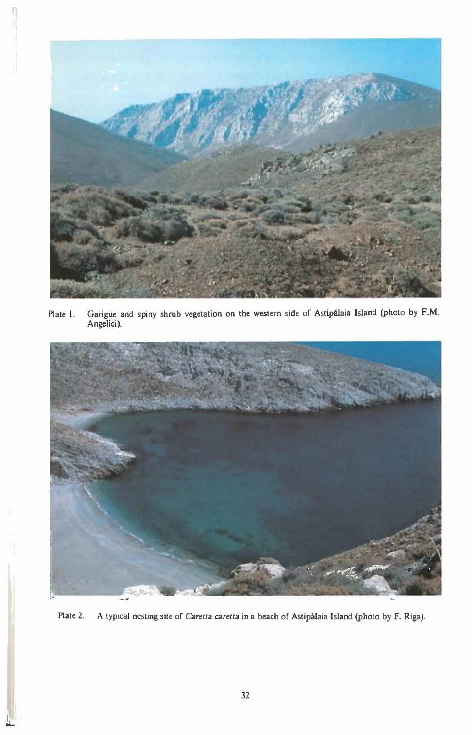

Plate I. Garigue and spiny shrub vegetation on the western side of Astipálaia Island (photo by F.M. Angelici).



Plate 2. A typical nesting site of Caretta caretta in a beach of Astipalaia Island (photo by F. Riga).